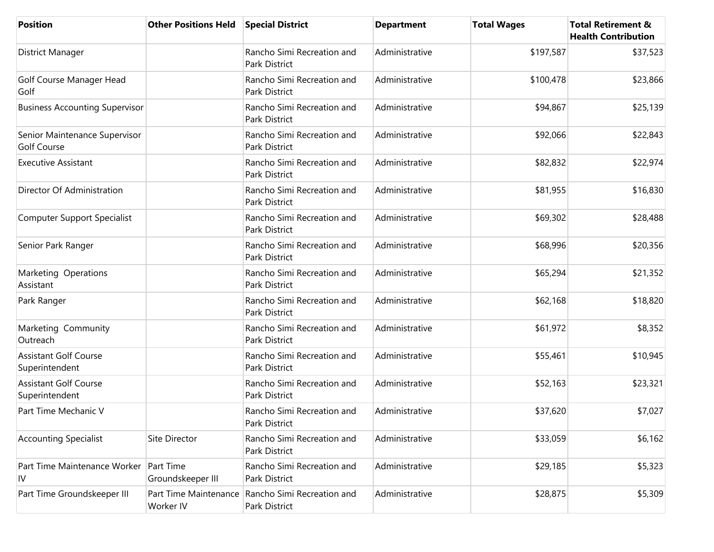| <b>Position</b>                                     | <b>Other Positions Held</b>        | <b>Special District</b>                            | <b>Department</b> | <b>Total Wages</b> | <b>Total Retirement &amp;</b><br><b>Health Contribution</b> |
|-----------------------------------------------------|------------------------------------|----------------------------------------------------|-------------------|--------------------|-------------------------------------------------------------|
| District Manager                                    |                                    | Rancho Simi Recreation and<br><b>Park District</b> | Administrative    | \$197,587          | \$37,523                                                    |
| Golf Course Manager Head<br>Golf                    |                                    | Rancho Simi Recreation and<br>Park District        | Administrative    | \$100,478          | \$23,866                                                    |
| <b>Business Accounting Supervisor</b>               |                                    | Rancho Simi Recreation and<br>Park District        | Administrative    | \$94,867           | \$25,139                                                    |
| Senior Maintenance Supervisor<br><b>Golf Course</b> |                                    | Rancho Simi Recreation and<br>Park District        | Administrative    | \$92,066           | \$22,843                                                    |
| <b>Executive Assistant</b>                          |                                    | Rancho Simi Recreation and<br>Park District        | Administrative    | \$82,832           | \$22,974                                                    |
| Director Of Administration                          |                                    | Rancho Simi Recreation and<br><b>Park District</b> | Administrative    | \$81,955           | \$16,830                                                    |
| Computer Support Specialist                         |                                    | Rancho Simi Recreation and<br>Park District        | Administrative    | \$69,302           | \$28,488                                                    |
| Senior Park Ranger                                  |                                    | Rancho Simi Recreation and<br>Park District        | Administrative    | \$68,996           | \$20,356                                                    |
| Marketing Operations<br>Assistant                   |                                    | Rancho Simi Recreation and<br>Park District        | Administrative    | \$65,294           | \$21,352                                                    |
| Park Ranger                                         |                                    | Rancho Simi Recreation and<br>Park District        | Administrative    | \$62,168           | \$18,820                                                    |
| Marketing Community<br>Outreach                     |                                    | Rancho Simi Recreation and<br><b>Park District</b> | Administrative    | \$61,972           | \$8,352                                                     |
| <b>Assistant Golf Course</b><br>Superintendent      |                                    | Rancho Simi Recreation and<br>Park District        | Administrative    | \$55,461           | \$10,945                                                    |
| <b>Assistant Golf Course</b><br>Superintendent      |                                    | Rancho Simi Recreation and<br>Park District        | Administrative    | \$52,163           | \$23,321                                                    |
| Part Time Mechanic V                                |                                    | Rancho Simi Recreation and<br>Park District        | Administrative    | \$37,620           | \$7,027                                                     |
| <b>Accounting Specialist</b>                        | Site Director                      | Rancho Simi Recreation and<br>Park District        | Administrative    | \$33,059           | \$6,162                                                     |
| Part Time Maintenance Worker<br>IV                  | Part Time<br>Groundskeeper III     | Rancho Simi Recreation and<br>Park District        | Administrative    | \$29,185           | \$5,323                                                     |
| Part Time Groundskeeper III                         | Part Time Maintenance<br>Worker IV | Rancho Simi Recreation and<br>Park District        | Administrative    | \$28,875           | \$5,309                                                     |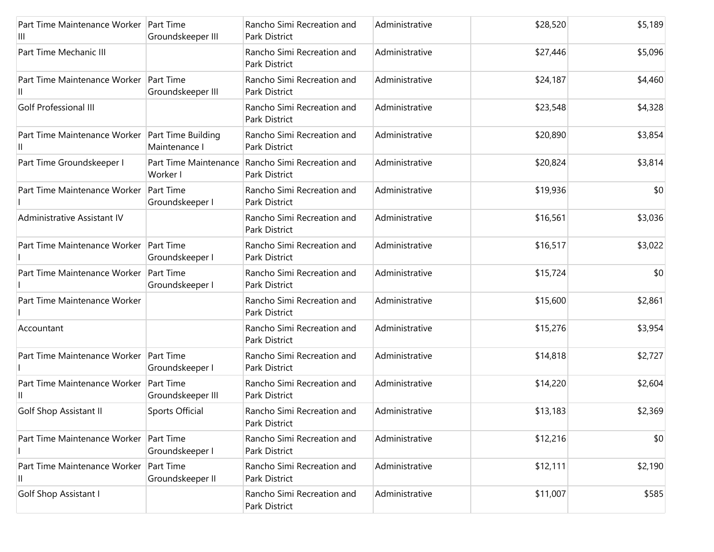| Part Time Maintenance Worker Part Time<br>Ш | Groundskeeper III                     | Rancho Simi Recreation and<br>Park District | Administrative | \$28,520 | \$5,189 |
|---------------------------------------------|---------------------------------------|---------------------------------------------|----------------|----------|---------|
| Part Time Mechanic III                      |                                       | Rancho Simi Recreation and<br>Park District | Administrative | \$27,446 | \$5,096 |
| Part Time Maintenance Worker                | <b>Part Time</b><br>Groundskeeper III | Rancho Simi Recreation and<br>Park District | Administrative | \$24,187 | \$4,460 |
| Golf Professional III                       |                                       | Rancho Simi Recreation and<br>Park District | Administrative | \$23,548 | \$4,328 |
| Part Time Maintenance Worker                | Part Time Building<br>Maintenance I   | Rancho Simi Recreation and<br>Park District | Administrative | \$20,890 | \$3,854 |
| Part Time Groundskeeper I                   | Part Time Maintenance<br>Worker I     | Rancho Simi Recreation and<br>Park District | Administrative | \$20,824 | \$3,814 |
| Part Time Maintenance Worker                | <b>Part Time</b><br>Groundskeeper I   | Rancho Simi Recreation and<br>Park District | Administrative | \$19,936 | \$0     |
| Administrative Assistant IV                 |                                       | Rancho Simi Recreation and<br>Park District | Administrative | \$16,561 | \$3,036 |
| Part Time Maintenance Worker                | <b>Part Time</b><br>Groundskeeper I   | Rancho Simi Recreation and<br>Park District | Administrative | \$16,517 | \$3,022 |
| Part Time Maintenance Worker                | Part Time<br>Groundskeeper I          | Rancho Simi Recreation and<br>Park District | Administrative | \$15,724 | \$0     |
| Part Time Maintenance Worker                |                                       | Rancho Simi Recreation and<br>Park District | Administrative | \$15,600 | \$2,861 |
| Accountant                                  |                                       | Rancho Simi Recreation and<br>Park District | Administrative | \$15,276 | \$3,954 |
| Part Time Maintenance Worker                | <b>Part Time</b><br>Groundskeeper I   | Rancho Simi Recreation and<br>Park District | Administrative | \$14,818 | \$2,727 |
| Part Time Maintenance Worker                | <b>Part Time</b><br>Groundskeeper III | Rancho Simi Recreation and<br>Park District | Administrative | \$14,220 | \$2,604 |
| Golf Shop Assistant II                      | Sports Official                       | Rancho Simi Recreation and<br>Park District | Administrative | \$13,183 | \$2,369 |
| Part Time Maintenance Worker                | <b>Part Time</b><br>Groundskeeper I   | Rancho Simi Recreation and<br>Park District | Administrative | \$12,216 | \$0     |
| Part Time Maintenance Worker<br>II          | Part Time<br>Groundskeeper II         | Rancho Simi Recreation and<br>Park District | Administrative | \$12,111 | \$2,190 |
| Golf Shop Assistant I                       |                                       | Rancho Simi Recreation and<br>Park District | Administrative | \$11,007 | \$585   |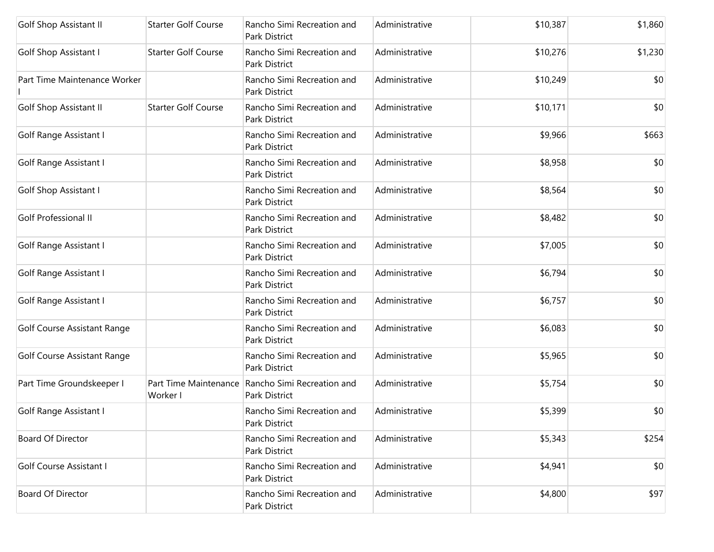| Golf Shop Assistant II         | <b>Starter Golf Course</b> | Rancho Simi Recreation and<br>Park District                       | Administrative | \$10,387 | \$1,860 |
|--------------------------------|----------------------------|-------------------------------------------------------------------|----------------|----------|---------|
| Golf Shop Assistant I          | <b>Starter Golf Course</b> | Rancho Simi Recreation and<br>Park District                       | Administrative | \$10,276 | \$1,230 |
| Part Time Maintenance Worker   |                            | Rancho Simi Recreation and<br>Park District                       | Administrative | \$10,249 | \$0     |
| <b>Golf Shop Assistant II</b>  | <b>Starter Golf Course</b> | Rancho Simi Recreation and<br>Park District                       | Administrative | \$10,171 | \$0     |
| Golf Range Assistant I         |                            | Rancho Simi Recreation and<br>Park District                       | Administrative | \$9,966  | \$663   |
| Golf Range Assistant I         |                            | Rancho Simi Recreation and<br>Park District                       | Administrative | \$8,958  | \$0     |
| Golf Shop Assistant I          |                            | Rancho Simi Recreation and<br>Park District                       | Administrative | \$8,564  | \$0     |
| Golf Professional II           |                            | Rancho Simi Recreation and<br>Park District                       | Administrative | \$8,482  | \$0     |
| Golf Range Assistant I         |                            | Rancho Simi Recreation and<br>Park District                       | Administrative | \$7,005  | \$0     |
| Golf Range Assistant I         |                            | Rancho Simi Recreation and<br>Park District                       | Administrative | \$6,794  | \$0     |
| Golf Range Assistant I         |                            | Rancho Simi Recreation and<br>Park District                       | Administrative | \$6,757  | \$0     |
| Golf Course Assistant Range    |                            | Rancho Simi Recreation and<br>Park District                       | Administrative | \$6,083  | \$0     |
| Golf Course Assistant Range    |                            | Rancho Simi Recreation and<br>Park District                       | Administrative | \$5,965  | \$0     |
| Part Time Groundskeeper I      | Worker I                   | Part Time Maintenance Rancho Simi Recreation and<br>Park District | Administrative | \$5,754  | \$0     |
| Golf Range Assistant I         |                            | Rancho Simi Recreation and<br>Park District                       | Administrative | \$5,399  | \$0     |
| <b>Board Of Director</b>       |                            | Rancho Simi Recreation and<br>Park District                       | Administrative | \$5,343  | \$254   |
| <b>Golf Course Assistant I</b> |                            | Rancho Simi Recreation and<br>Park District                       | Administrative | \$4,941  | \$0     |
| <b>Board Of Director</b>       |                            | Rancho Simi Recreation and<br>Park District                       | Administrative | \$4,800  | \$97    |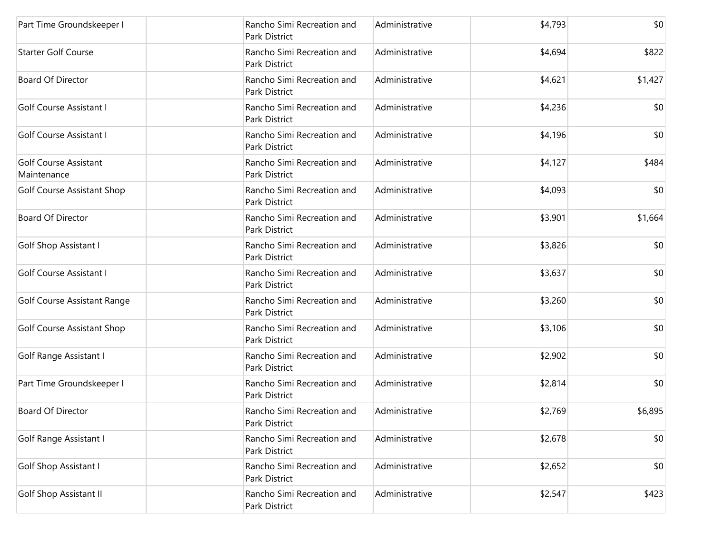| Part Time Groundskeeper I                   | Rancho Simi Recreation and<br>Park District        | Administrative | \$4,793 | \$0     |
|---------------------------------------------|----------------------------------------------------|----------------|---------|---------|
| <b>Starter Golf Course</b>                  | Rancho Simi Recreation and<br>Park District        | Administrative | \$4,694 | \$822   |
| <b>Board Of Director</b>                    | Rancho Simi Recreation and<br>Park District        | Administrative | \$4,621 | \$1,427 |
| Golf Course Assistant I                     | Rancho Simi Recreation and<br>Park District        | Administrative | \$4,236 | \$0     |
| Golf Course Assistant I                     | Rancho Simi Recreation and<br>Park District        | Administrative | \$4,196 | \$0     |
| <b>Golf Course Assistant</b><br>Maintenance | Rancho Simi Recreation and<br>Park District        | Administrative | \$4,127 | \$484   |
| Golf Course Assistant Shop                  | Rancho Simi Recreation and<br><b>Park District</b> | Administrative | \$4,093 | \$0     |
| <b>Board Of Director</b>                    | Rancho Simi Recreation and<br>Park District        | Administrative | \$3,901 | \$1,664 |
| <b>Golf Shop Assistant I</b>                | Rancho Simi Recreation and<br>Park District        | Administrative | \$3,826 | \$0     |
| Golf Course Assistant I                     | Rancho Simi Recreation and<br>Park District        | Administrative | \$3,637 | \$0     |
| <b>Golf Course Assistant Range</b>          | Rancho Simi Recreation and<br>Park District        | Administrative | \$3,260 | \$0     |
| Golf Course Assistant Shop                  | Rancho Simi Recreation and<br>Park District        | Administrative | \$3,106 | \$0     |
| Golf Range Assistant I                      | Rancho Simi Recreation and<br>Park District        | Administrative | \$2,902 | \$0     |
| Part Time Groundskeeper I                   | Rancho Simi Recreation and<br>Park District        | Administrative | \$2,814 | \$0     |
| <b>Board Of Director</b>                    | Rancho Simi Recreation and<br>Park District        | Administrative | \$2,769 | \$6,895 |
| Golf Range Assistant I                      | Rancho Simi Recreation and<br>Park District        | Administrative | \$2,678 | \$0     |
| Golf Shop Assistant I                       | Rancho Simi Recreation and<br>Park District        | Administrative | \$2,652 | \$0     |
| <b>Golf Shop Assistant II</b>               | Rancho Simi Recreation and<br>Park District        | Administrative | \$2,547 | \$423   |